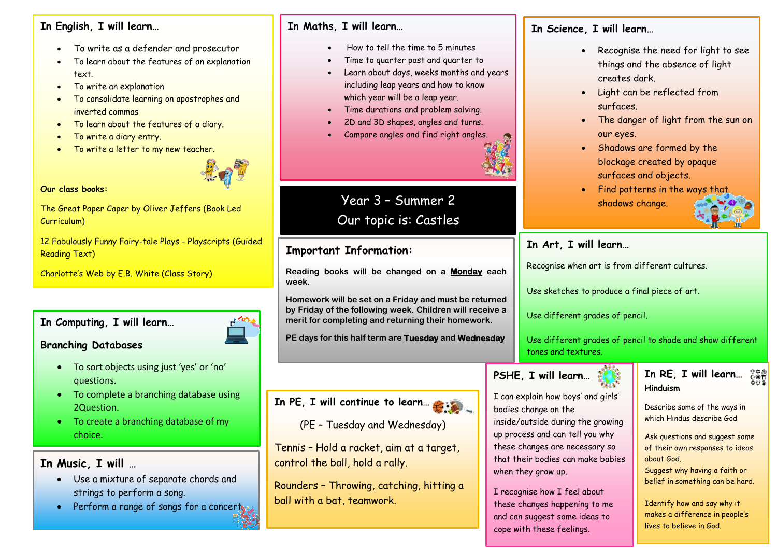#### **In English, I will learn…**

- To write as a defender and prosecutor
- To learn about the features of an explanation text.
- To write an explanation
- **Year** inverted commas • To consolidate learning on apostrophes and
- To learn about the features of a diary.
- **6** To write a diary entry.
- To write a letter to my new teacher.



# **er Our class books:**

The Great Paper Caper by Oliver Jeffers (Book Led<br>Curriculum) Curriculum)

**2** 12 Fabulously Funny Fairy-tale Plays - Playscripts (Guided Reading Text)

Charlotte's Web by E.B. White (Class Story)

# **In Computing, I will learn…**

#### **Branching Databases**

- To sort objects using just 'yes' or 'no' questions.
- To complete a branching database using 2Question.
- To create a branching database of my choice.

**In Music, I will …**

- Use a mixture of separate chords and strings to perform a song.
- Perform a range of songs for a concerty

#### **In Maths, I will learn…**

- How to tell the time to 5 minutes
- Time to quarter past and quarter to
- Learn about days, weeks months and years including leap years and how to know which year will be a leap year.
- Time durations and problem solving.
- 2D and 3D shapes, angles and turns.
- Compare angles and find right angles.



# Year 3 – Summer 2 Our topic is: Castles

## **Important Information:**

**Reading books will be changed on a Monday each week.** 

**Homework will be set on a Friday and must be returned by Friday of the following week. Children will receive a merit for completing and returning their homework.**

**PE days for this half term are Tuesday and Wednesday** 

# **In PE, I will continue to learn…**

Tennis – Hold a racket, aim at a target, control the ball, hold a rally.

Rounders – Throwing, catching, hitting a ball with a bat, teamwork.

## **In Science, I will learn…**

- Recognise the need for light to see things and the absence of light creates dark.
- Light can be reflected from surfaces.
- The danger of light from the sun on our eyes.
- Shadows are formed by the blockage created by opaque surfaces and objects.
- Find patterns in the ways that shadows change.

# **In Art, I will learn…**

Recognise when art is from different cultures.

Use sketches to produce a final piece of art.

Use different grades of pencil.

Use different grades of pencil to shade and show different tones and textures.

# **PSHE, I will learn…**

I can explain how boys' and girls'

inside/outside during the growing up process and can tell you why these changes are necessary so that their bodies can make babies

bodies change on the

when they arow up.

I recognise how I feel about these changes happening to me and can suggest some ideas to cope with these feelings.



Describe some of the ways in which Hindus describe God

Ask questions and suggest some of their own responses to ideas about God. Suggest why having a faith or belief in something can be hard.

Identify how and say why it makes a difference in people's lives to believe in God.

(PE – Tuesday and Wednesday)